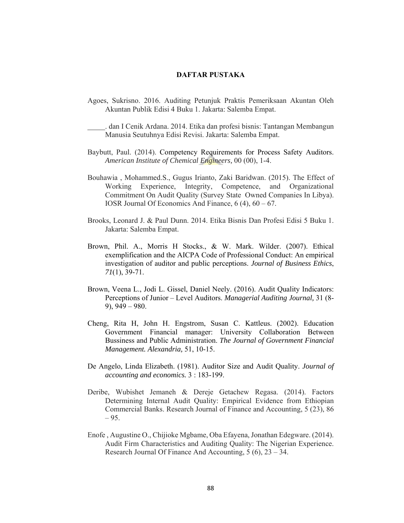## **DAFTAR PUSTAKA**

Agoes, Sukrisno. 2016. Auditing Petunjuk Praktis Pemeriksaan Akuntan Oleh Akuntan Publik Edisi 4 Buku 1. Jakarta: Salemba Empat.

 . dan I Cenik Ardana. 2014. Etika dan profesi bisnis: Tantangan Membangun Manusia Seutuhnya Edisi Revisi. Jakarta: Salemba Empat.

- Baybutt, Paul. (2014). Competency Requirements for Process Safety Auditors. *American Institute of Chemical Engineers,* 00 (00), 1-4.
- Bouhawia , Mohammed.S., Gugus Irianto, Zaki Baridwan. (2015). The Effect of Working Experience, Integrity, Competence, and Organizational Commitment On Audit Quality (Survey State Owned Companies In Libya). IOSR Journal Of Economics And Finance, 6 (4), 60 – 67.
- Brooks, Leonard J. & Paul Dunn. 2014. Etika Bisnis Dan Profesi Edisi 5 Buku 1. Jakarta: Salemba Empat.
- Brown, Phil. A., Morris H Stocks., & W. Mark. Wilder. (2007). Ethical exemplification and the AICPA Code of Professional Conduct: An empirical investigation of auditor and public perceptions. *Journal of Business Ethics*, *71*(1), 39-71.
- Brown, Veena L., Jodi L. Gissel, Daniel Neely. (2016). Audit Quality Indicators: Perceptions of Junior – Level Auditors. *Managerial Auditing Journal,* 31 (8- 9), 949 – 980.
- Cheng, Rita H, John H. Engstrom, Susan C. Kattleus. (2002). Education Government Financial manager: University Collaboration Between Bussiness and Public Administration. *The Journal of Government Financial Management. Alexandria,* 51, 10-15.
- De Angelo, Linda Elizabeth. (1981). Auditor Size and Audit Quality. *Journal of accounting and economics.* 3 : 183-199.
- Deribe, Wubishet Jemaneh & Dereje Getachew Regasa. (2014). Factors Determining Internal Audit Quality: Empirical Evidence from Ethiopian Commercial Banks. Research Journal of Finance and Accounting, 5 (23), 86  $-95.$
- Enofe , Augustine O., Chijioke Mgbame, Oba Efayena, Jonathan Edegware. (2014). Audit Firm Characteristics and Auditing Quality: The Nigerian Experience. Research Journal Of Finance And Accounting, 5 (6), 23 – 34.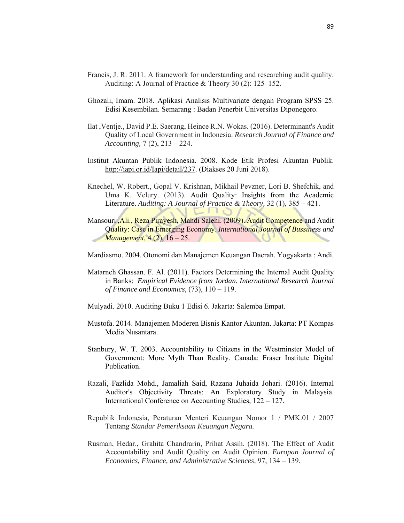- Francis, J. R. 2011. A framework for understanding and researching audit quality. Auditing: A Journal of Practice & Theory 30 (2): 125–152.
- Ghozali, Imam. 2018. Aplikasi Analisis Multivariate dengan Program SPSS 25. Edisi Kesembilan. Semarang : Badan Penerbit Universitas Diponegoro.
- Ilat ,Ventje., David P.E. Saerang, Heince R.N. Wokas. (2016). Determinant's Audit Quality of Local Government in Indonesia. *Research Journal of Finance and Accounting,* 7 (2), 213 – 224.
- Institut Akuntan Publik Indonesia. 2008. Kode Etik Profesi Akuntan Publik. http://iapi.or.id/Iapi/detail/237. (Diakses 20 Juni 2018).
- Knechel, W. Robert., Gopal V. Krishnan, Mikhail Pevzner, Lori B. Shefchik, and Uma K. Velury. (2013). Audit Quality: Insights from the Academic Literature. *Auditing: A Journal of Practice & Theory,* 32 (1), 385 – 421.  $V<sub>110</sub>$
- Mansouri ,Ali., Reza Pirayesh, Mahdi Salehi. (2009). Audit Competence and Audit Quality: Case in Emerging Economy. *International Journal of Bussiness and Management,* 4 (2), 16 – 25. V.
- Mardiasmo. 2004. Otonomi dan Manajemen Keuangan Daerah. Yogyakarta : Andi.
- Matarneh Ghassan. F. Al. (2011). Factors Determining the Internal Audit Quality in Banks: *Empirical Evidence from Jordan. International Research Journal of Finance and Economics,* (73), 110 – 119.
- Mulyadi. 2010. Auditing Buku 1 Edisi 6. Jakarta: Salemba Empat.
- Mustofa. 2014. Manajemen Moderen Bisnis Kantor Akuntan. Jakarta: PT Kompas Media Nusantara.
- Stanbury, W. T. 2003. Accountability to Citizens in the Westminster Model of Government: More Myth Than Reality. Canada: Fraser Institute Digital Publication.
- Razali, Fazlida Mohd., Jamaliah Said, Razana Juhaida Johari. (2016). Internal Auditor's Objectivity Threats: An Exploratory Study in Malaysia. International Conference on Accounting Studies, 122 – 127.
- Republik Indonesia, Peraturan Menteri Keuangan Nomor 1 / PMK.01 / 2007 Tentang *Standar Pemeriksaan Keuangan Negara.*
- Rusman, Hedar., Grahita Chandrarin, Prihat Assih. (2018). The Effect of Audit Accountability and Audit Quality on Audit Opinion. *Europan Journal of Economics, Finance, and Administrative Sciences,* 97, 134 – 139.